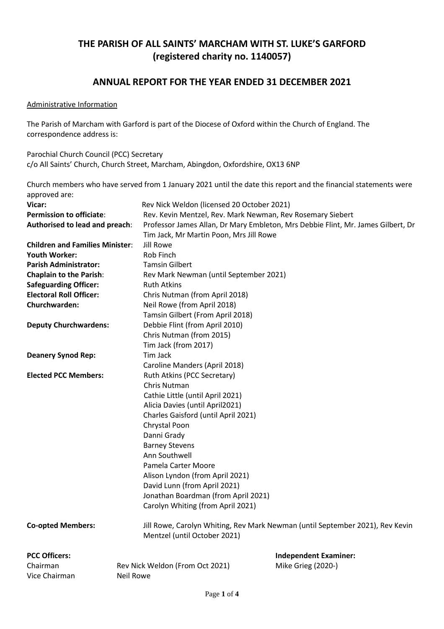# **THE PARISH OF ALL SAINTS' MARCHAM WITH ST. LUKE'S GARFORD (registered charity no. 1140057)**

# **ANNUAL REPORT FOR THE YEAR ENDED 31 DECEMBER 2021**

#### Administrative Information

The Parish of Marcham with Garford is part of the Diocese of Oxford within the Church of England. The correspondence address is:

Parochial Church Council (PCC) Secretary c/o All Saints' Church, Church Street, Marcham, Abingdon, Oxfordshire, OX13 6NP

Church members who have served from 1 January 2021 until the date this report and the financial statements were approved are:

| Vicar:                                      |                                         | Rev Nick Weldon (licensed 20 October 2021)                                       |  |  |  |  |
|---------------------------------------------|-----------------------------------------|----------------------------------------------------------------------------------|--|--|--|--|
| <b>Permission to officiate:</b>             |                                         | Rev. Kevin Mentzel, Rev. Mark Newman, Rev Rosemary Siebert                       |  |  |  |  |
| Authorised to lead and preach:              |                                         | Professor James Allan, Dr Mary Embleton, Mrs Debbie Flint, Mr. James Gilbert, Dr |  |  |  |  |
|                                             | Tim Jack, Mr Martin Poon, Mrs Jill Rowe |                                                                                  |  |  |  |  |
| <b>Children and Families Minister:</b>      | Jill Rowe                               |                                                                                  |  |  |  |  |
| <b>Youth Worker:</b>                        | Rob Finch                               |                                                                                  |  |  |  |  |
| <b>Parish Administrator:</b>                | <b>Tamsin Gilbert</b>                   |                                                                                  |  |  |  |  |
| <b>Chaplain to the Parish:</b>              |                                         | Rev Mark Newman (until September 2021)                                           |  |  |  |  |
| <b>Safeguarding Officer:</b>                | <b>Ruth Atkins</b>                      |                                                                                  |  |  |  |  |
| <b>Electoral Roll Officer:</b>              |                                         | Chris Nutman (from April 2018)                                                   |  |  |  |  |
| Churchwarden:                               | Neil Rowe (from April 2018)             |                                                                                  |  |  |  |  |
|                                             |                                         | Tamsin Gilbert (From April 2018)                                                 |  |  |  |  |
| <b>Deputy Churchwardens:</b>                | Debbie Flint (from April 2010)          |                                                                                  |  |  |  |  |
|                                             | Chris Nutman (from 2015)                |                                                                                  |  |  |  |  |
|                                             | Tim Jack (from 2017)                    |                                                                                  |  |  |  |  |
| <b>Deanery Synod Rep:</b>                   | Tim Jack                                |                                                                                  |  |  |  |  |
|                                             | Caroline Manders (April 2018)           |                                                                                  |  |  |  |  |
| <b>Elected PCC Members:</b>                 | Ruth Atkins (PCC Secretary)             |                                                                                  |  |  |  |  |
|                                             | Chris Nutman                            |                                                                                  |  |  |  |  |
|                                             | Cathie Little (until April 2021)        |                                                                                  |  |  |  |  |
|                                             | Alicia Davies (until April2021)         |                                                                                  |  |  |  |  |
|                                             | Charles Gaisford (until April 2021)     |                                                                                  |  |  |  |  |
|                                             | Chrystal Poon                           |                                                                                  |  |  |  |  |
|                                             | Danni Grady                             |                                                                                  |  |  |  |  |
|                                             | <b>Barney Stevens</b>                   |                                                                                  |  |  |  |  |
|                                             | Ann Southwell                           |                                                                                  |  |  |  |  |
|                                             | Pamela Carter Moore                     |                                                                                  |  |  |  |  |
|                                             |                                         | Alison Lyndon (from April 2021)                                                  |  |  |  |  |
|                                             | David Lunn (from April 2021)            |                                                                                  |  |  |  |  |
|                                             |                                         | Jonathan Boardman (from April 2021)                                              |  |  |  |  |
|                                             | Carolyn Whiting (from April 2021)       |                                                                                  |  |  |  |  |
| <b>Co-opted Members:</b>                    | Mentzel (until October 2021)            | Jill Rowe, Carolyn Whiting, Rev Mark Newman (until September 2021), Rev Kevin    |  |  |  |  |
| <b>PCC Officers:</b>                        |                                         | <b>Independent Examiner:</b>                                                     |  |  |  |  |
| Chairman<br>Rev Nick Weldon (From Oct 2021) |                                         | Mike Grieg (2020-)                                                               |  |  |  |  |
| Vice Chairman<br><b>Neil Rowe</b>           |                                         |                                                                                  |  |  |  |  |
|                                             |                                         |                                                                                  |  |  |  |  |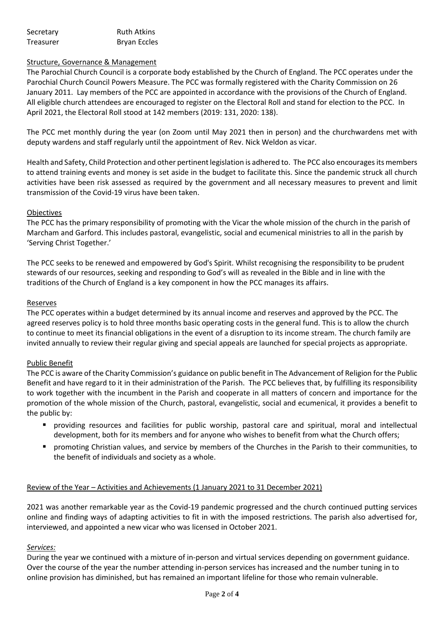| Secretary | <b>Ruth Atkins</b>  |
|-----------|---------------------|
| Treasurer | <b>Bryan Eccles</b> |

## Structure, Governance & Management

The Parochial Church Council is a corporate body established by the Church of England. The PCC operates under the Parochial Church Council Powers Measure. The PCC was formally registered with the Charity Commission on 26 January 2011. Lay members of the PCC are appointed in accordance with the provisions of the Church of England. All eligible church attendees are encouraged to register on the Electoral Roll and stand for election to the PCC. In April 2021, the Electoral Roll stood at 142 members (2019: 131, 2020: 138).

The PCC met monthly during the year (on Zoom until May 2021 then in person) and the churchwardens met with deputy wardens and staff regularly until the appointment of Rev. Nick Weldon as vicar.

Health and Safety, Child Protection and other pertinent legislation is adhered to. The PCC also encourages its members to attend training events and money is set aside in the budget to facilitate this. Since the pandemic struck all church activities have been risk assessed as required by the government and all necessary measures to prevent and limit transmission of the Covid-19 virus have been taken.

## **Objectives**

The PCC has the primary responsibility of promoting with the Vicar the whole mission of the church in the parish of Marcham and Garford. This includes pastoral, evangelistic, social and ecumenical ministries to all in the parish by 'Serving Christ Together.'

The PCC seeks to be renewed and empowered by God's Spirit. Whilst recognising the responsibility to be prudent stewards of our resources, seeking and responding to God's will as revealed in the Bible and in line with the traditions of the Church of England is a key component in how the PCC manages its affairs.

#### Reserves

The PCC operates within a budget determined by its annual income and reserves and approved by the PCC. The agreed reserves policy is to hold three months basic operating costs in the general fund. This is to allow the church to continue to meet its financial obligations in the event of a disruption to its income stream. The church family are invited annually to review their regular giving and special appeals are launched for special projects as appropriate.

#### Public Benefit

The PCC is aware of the Charity Commission's guidance on public benefit in The Advancement of Religion for the Public Benefit and have regard to it in their administration of the Parish. The PCC believes that, by fulfilling its responsibility to work together with the incumbent in the Parish and cooperate in all matters of concern and importance for the promotion of the whole mission of the Church, pastoral, evangelistic, social and ecumenical, it provides a benefit to the public by:

- providing resources and facilities for public worship, pastoral care and spiritual, moral and intellectual development, both for its members and for anyone who wishes to benefit from what the Church offers;
- promoting Christian values, and service by members of the Churches in the Parish to their communities, to the benefit of individuals and society as a whole.

#### Review of the Year – Activities and Achievements (1 January 2021 to 31 December 2021)

2021 was another remarkable year as the Covid-19 pandemic progressed and the church continued putting services online and finding ways of adapting activities to fit in with the imposed restrictions. The parish also advertised for, interviewed, and appointed a new vicar who was licensed in October 2021.

#### *Services:*

During the year we continued with a mixture of in-person and virtual services depending on government guidance. Over the course of the year the number attending in-person services has increased and the number tuning in to online provision has diminished, but has remained an important lifeline for those who remain vulnerable.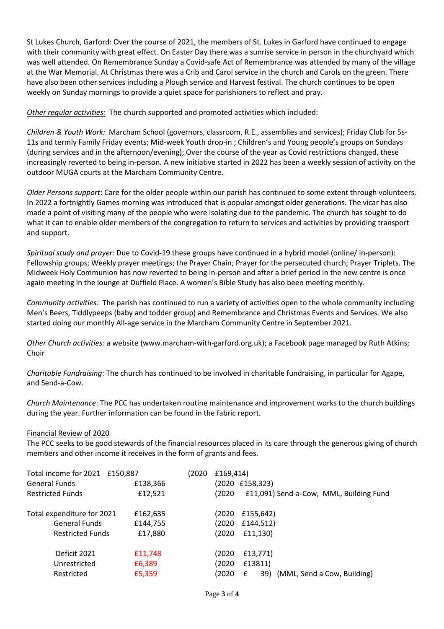St Lukes Church, Garford: Over the course of 2021, the members of St. Lukes in Garford have continued to engage with their community with great effect. On Easter Day there was a sunrise service in person in the churchyard which was well attended. On Remembrance Sunday a Covid-safe Act of Remembrance was attended by many of the village at the War Memorial. At Christmas there was a Crib and Carol service in the church and Carols on the green. There have also been other services including a Plough service and Harvest festival. The church continues to be open weekly on Sunday mornings to provide a quiet space for parishioners to reflect and pray.

*Other regular activities:* The church supported and promoted activities which included:

*Children & Youth Work:* Marcham School (governors, classroom, R.E., assemblies and services); Friday Club for 5s-11s and termly Family Friday events; Mid-week Youth drop-in ; Children's and Young people's groups on Sundays (during services and in the afternoon/evening); Over the course of the year as Covid restrictions changed, these increasingly reverted to being in-person. A new initiative started in 2022 has been a weekly session of activity on the outdoor MUGA courts at the Marcham Community Centre.

*Older Persons support*: Care for the older people within our parish has continued to some extent through volunteers. In 2022 a fortnightly Games morning was introduced that is popular amongst older generations. The vicar has also made a point of visiting many of the people who were isolating due to the pandemic. The church has sought to do what it can to enable older members of the congregation to return to services and activities by providing transport and support.

*Spiritual study and prayer:* Due to Covid-19 these groups have continued in a hybrid model (online/ in-person): Fellowship groups; Weekly prayer meetings; the Prayer Chain; Prayer for the persecuted church; Prayer Triplets. The Midweek Holy Communion has now reverted to being in-person and after a brief period in the new centre is once again meeting in the lounge at Duffield Place. A women's Bible Study has also been meeting monthly.

*Community activities:* The parish has continued to run a variety of activities open to the whole community including Men's Beers, Tiddlypeeps (baby and todder group) and Remembrance and Christmas Events and Services. We also started doing our monthly All-age service in the Marcham Community Centre in September 2021.

*Other Church activities:* a website [\(www.marcham-with-garford.org.uk\)](http://www.marcham-with-garford.org.uk/); a Facebook page managed by Ruth Atkins; Choir

*Charitable Fundraising*: The church has continued to be involved in charitable fundraising, in particular for Agape, and Send-a-Cow.

*Church Maintenance*: The PCC has undertaken routine maintenance and improvement works to the church buildings during the year. Further information can be found in the fabric report.

#### Financial Review of 2020

The PCC seeks to be good stewards of the financial resources placed in its care through the generous giving of church members and other income it receives in the form of grants and fees.

| Total income for 2021 £150,887 |          | (2020 | £169,414)                                        |
|--------------------------------|----------|-------|--------------------------------------------------|
| <b>General Funds</b>           | £138,366 |       | (2020 £158,323)                                  |
| <b>Restricted Funds</b>        | £12,521  |       | £11,091) Send-a-Cow, MML, Building Fund<br>(2020 |
| Total expenditure for 2021     | £162,635 |       | £155,642)<br>(2020                               |
| <b>General Funds</b>           | £144,755 |       | (2020<br>£144,512)                               |
| <b>Restricted Funds</b>        | £17,880  |       | f11,130<br>(2020                                 |
| Deficit 2021                   | £11,748  |       | £13,771)<br>(2020                                |
| Unrestricted                   | £6,389   |       | £13811)<br>(2020                                 |
| Restricted                     | £5,359   |       | 39) (MML, Send a Cow, Building)<br>(2020         |